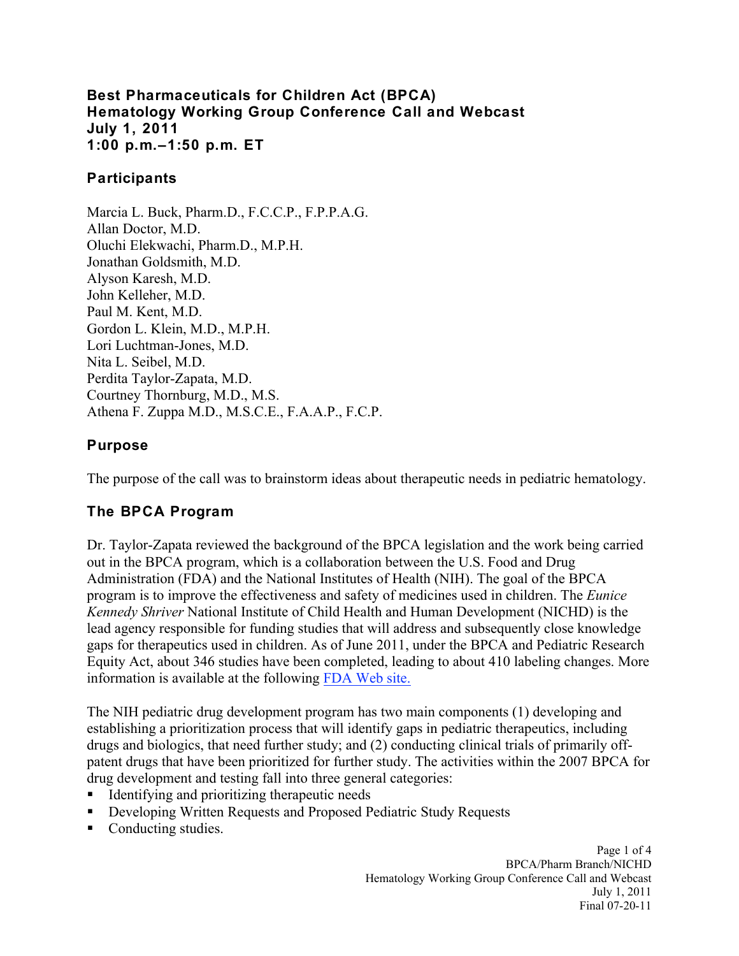### **Best Pharmaceuticals for Children Act (BPCA) Hematology Working Group Conference Call and Webcast July 1, 2011 1:00 p.m.–1:50 p.m. ET**

### **Participants**

 Athena F. Zuppa M.D., M.S.C.E., F.A.A.P., F.C.P. Marcia L. Buck, Pharm.D., F.C.C.P., F.P.P.A.G. Allan Doctor, M.D. Oluchi Elekwachi, Pharm.D., M.P.H. Jonathan Goldsmith, M.D. Alyson Karesh, M.D. John Kelleher, M.D. Paul M. Kent, M.D. Gordon L. Klein, M.D., M.P.H. Lori Luchtman-Jones, M.D. Nita L. Seibel, M.D. Perdita Taylor-Zapata, M.D. Courtney Thornburg, M.D., M.S.

## **Purpose**

The purpose of the call was to brainstorm ideas about therapeutic needs in pediatric hematology.

# **The BPCA Program**

Dr. Taylor-Zapata reviewed the background of the BPCA legislation and the work being carried out in the BPCA program, which is a collaboration between the U.S. Food and Drug Administration (FDA) and the National Institutes of Health (NIH). The goal of the BPCA program is to improve the effectiveness and safety of medicines used in children. The *Eunice Kennedy Shriver* National Institute of Child Health and Human Development (NICHD) is the lead agency responsible for funding studies that will address and subsequently close knowledge gaps for therapeutics used in children. As of June 2011, under the BPCA and Pediatric Research Equity Act, about 346 studies have been completed, leading to about 410 labeling changes. More information is available at the following FDA Web site.

The NIH pediatric drug development program has two main components (1) developing and establishing a prioritization process that will identify gaps in pediatric therapeutics, including drugs and biologics, that need further study; and (2) conducting clinical trials of primarily offpatent drugs that have been prioritized for further study. The activities within the 2007 BPCA for drug development and testing fall into three general categories:

- Identifying and prioritizing therapeutic needs
- Developing Written Requests and Proposed Pediatric Study Requests
- Conducting studies.

Page 1 of 4 BPCA/Pharm Branch/NICHD Hematology Working Group Conference Call and Webcast July 1, 2011 Final 07-20-11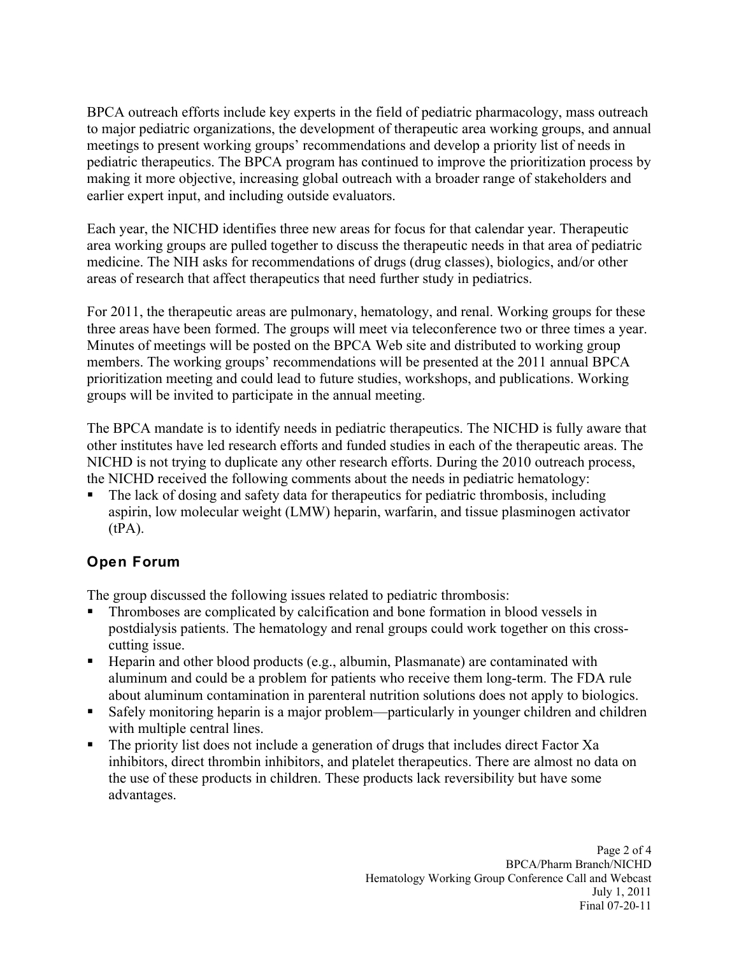BPCA outreach efforts include key experts in the field of pediatric pharmacology, mass outreach to major pediatric organizations, the development of therapeutic area working groups, and annual meetings to present working groups' recommendations and develop a priority list of needs in pediatric therapeutics. The BPCA program has continued to improve the prioritization process by making it more objective, increasing global outreach with a broader range of stakeholders and earlier expert input, and including outside evaluators.

Each year, the NICHD identifies three new areas for focus for that calendar year. Therapeutic area working groups are pulled together to discuss the therapeutic needs in that area of pediatric medicine. The NIH asks for recommendations of drugs (drug classes), biologics, and/or other areas of research that affect therapeutics that need further study in pediatrics.

For 2011, the therapeutic areas are pulmonary, hematology, and renal. Working groups for these three areas have been formed. The groups will meet via teleconference two or three times a year. Minutes of meetings will be posted on the BPCA Web site and distributed to working group members. The working groups' recommendations will be presented at the 2011 annual BPCA prioritization meeting and could lead to future studies, workshops, and publications. Working groups will be invited to participate in the annual meeting.

The BPCA mandate is to identify needs in pediatric therapeutics. The NICHD is fully aware that other institutes have led research efforts and funded studies in each of the therapeutic areas. The NICHD is not trying to duplicate any other research efforts. During the 2010 outreach process, the NICHD received the following comments about the needs in pediatric hematology:

 The lack of dosing and safety data for therapeutics for pediatric thrombosis, including aspirin, low molecular weight (LMW) heparin, warfarin, and tissue plasminogen activator  $(tPA)$ .

## **Open Forum**

The group discussed the following issues related to pediatric thrombosis:

- Thromboses are complicated by calcification and bone formation in blood vessels in postdialysis patients. The hematology and renal groups could work together on this crosscutting issue.
- Heparin and other blood products (e.g., albumin, Plasmanate) are contaminated with aluminum and could be a problem for patients who receive them long-term. The FDA rule about aluminum contamination in parenteral nutrition solutions does not apply to biologics.
- Safely monitoring heparin is a major problem—particularly in younger children and children with multiple central lines.
- The priority list does not include a generation of drugs that includes direct Factor Xa inhibitors, direct thrombin inhibitors, and platelet therapeutics. There are almost no data on the use of these products in children. These products lack reversibility but have some advantages.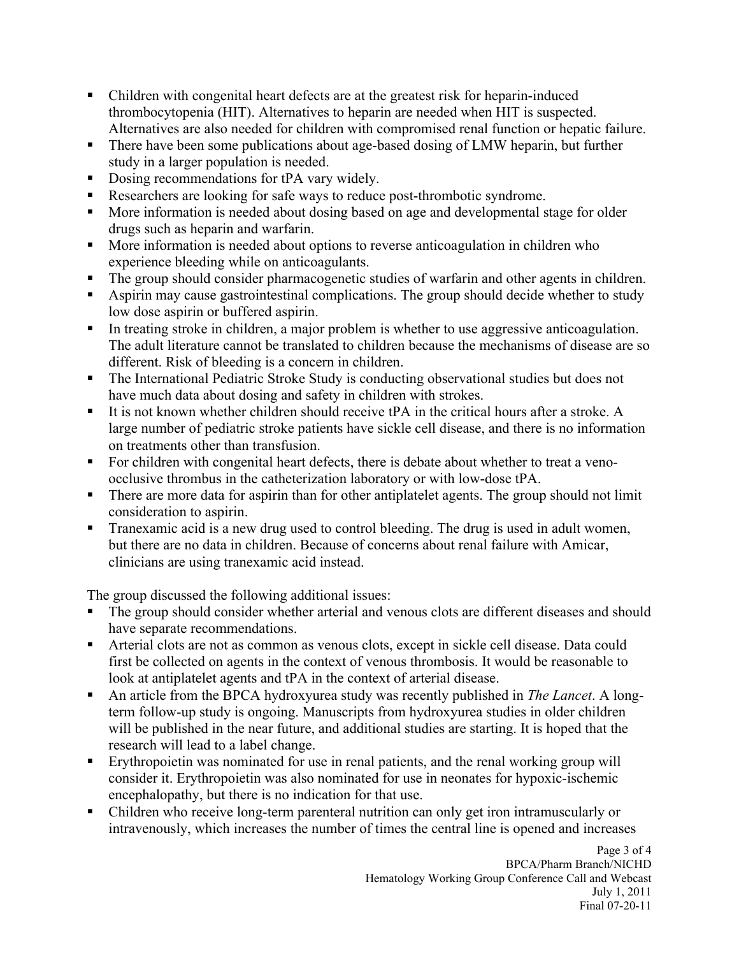- Children with congenital heart defects are at the greatest risk for heparin-induced thrombocytopenia (HIT). Alternatives to heparin are needed when HIT is suspected. Alternatives are also needed for children with compromised renal function or hepatic failure.
- There have been some publications about age-based dosing of LMW heparin, but further study in a larger population is needed.
- Dosing recommendations for tPA vary widely.
- Researchers are looking for safe ways to reduce post-thrombotic syndrome.
- More information is needed about dosing based on age and developmental stage for older drugs such as heparin and warfarin.
- More information is needed about options to reverse anticoagulation in children who experience bleeding while on anticoagulants.
- The group should consider pharmacogenetic studies of warfarin and other agents in children.
- Aspirin may cause gastrointestinal complications. The group should decide whether to study low dose aspirin or buffered aspirin.
- In treating stroke in children, a major problem is whether to use aggressive anticoagulation. The adult literature cannot be translated to children because the mechanisms of disease are so different. Risk of bleeding is a concern in children.
- The International Pediatric Stroke Study is conducting observational studies but does not have much data about dosing and safety in children with strokes.
- It is not known whether children should receive tPA in the critical hours after a stroke. A large number of pediatric stroke patients have sickle cell disease, and there is no information on treatments other than transfusion.
- For children with congenital heart defects, there is debate about whether to treat a venoocclusive thrombus in the catheterization laboratory or with low-dose tPA.
- There are more data for aspirin than for other antiplatelet agents. The group should not limit consideration to aspirin.
- **Tranexamic acid is a new drug used to control bleeding. The drug is used in adult women,** but there are no data in children. Because of concerns about renal failure with Amicar, clinicians are using tranexamic acid instead.

The group discussed the following additional issues:

- The group should consider whether arterial and venous clots are different diseases and should have separate recommendations.
- Arterial clots are not as common as venous clots, except in sickle cell disease. Data could first be collected on agents in the context of venous thrombosis. It would be reasonable to look at antiplatelet agents and tPA in the context of arterial disease.
- An article from the BPCA hydroxyurea study was recently published in *The Lancet*. A longterm follow-up study is ongoing. Manuscripts from hydroxyurea studies in older children will be published in the near future, and additional studies are starting. It is hoped that the research will lead to a label change.
- Erythropoietin was nominated for use in renal patients, and the renal working group will consider it. Erythropoietin was also nominated for use in neonates for hypoxic-ischemic encephalopathy, but there is no indication for that use.
- Children who receive long-term parenteral nutrition can only get iron intramuscularly or intravenously, which increases the number of times the central line is opened and increases